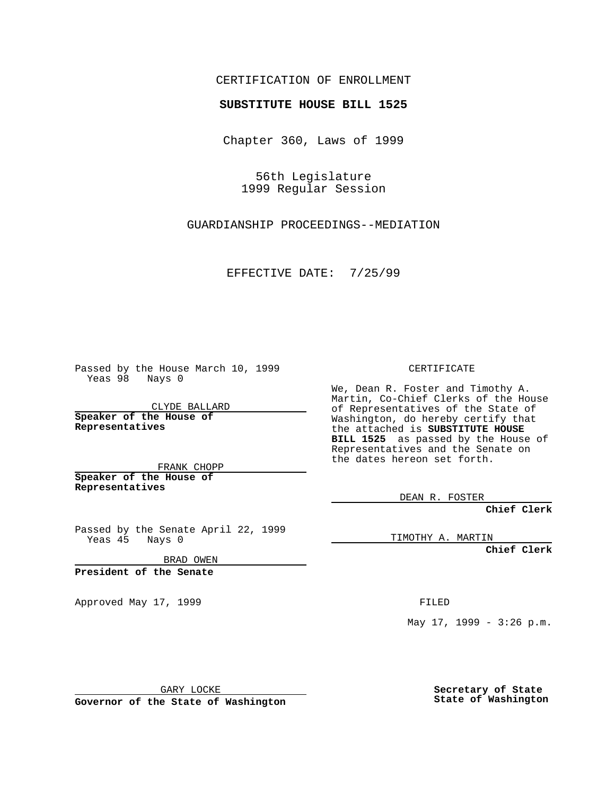## CERTIFICATION OF ENROLLMENT

## **SUBSTITUTE HOUSE BILL 1525**

Chapter 360, Laws of 1999

56th Legislature 1999 Regular Session

GUARDIANSHIP PROCEEDINGS--MEDIATION

EFFECTIVE DATE: 7/25/99

Passed by the House March 10, 1999 Yeas 98 Nays 0

CLYDE BALLARD **Speaker of the House of Representatives**

FRANK CHOPP **Speaker of the House of Representatives**

Passed by the Senate April 22, 1999 Yeas 45 Nays 0

BRAD OWEN

**President of the Senate**

Approved May 17, 1999 **FILED** 

CERTIFICATE

We, Dean R. Foster and Timothy A. Martin, Co-Chief Clerks of the House of Representatives of the State of Washington, do hereby certify that the attached is **SUBSTITUTE HOUSE BILL 1525** as passed by the House of Representatives and the Senate on the dates hereon set forth.

DEAN R. FOSTER

**Chief Clerk**

TIMOTHY A. MARTIN

**Chief Clerk**

May 17, 1999 - 3:26 p.m.

GARY LOCKE

**Governor of the State of Washington**

**Secretary of State State of Washington**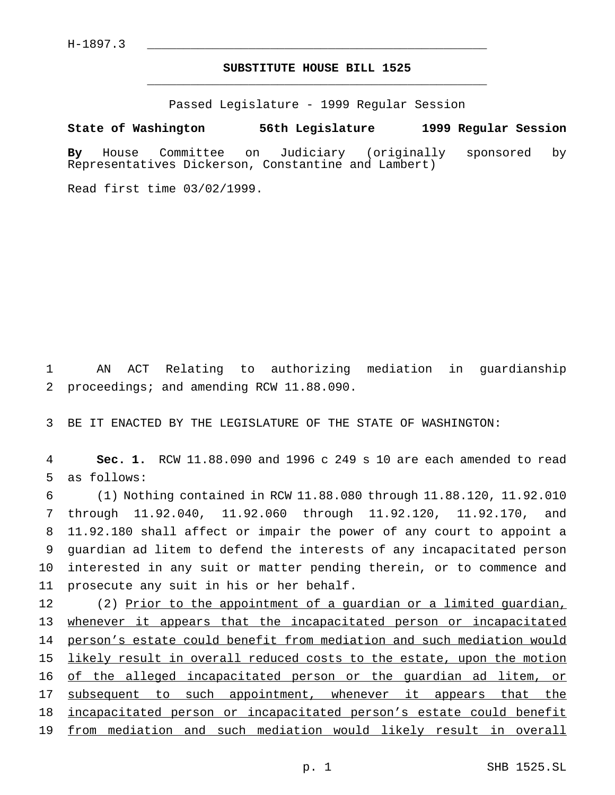## **SUBSTITUTE HOUSE BILL 1525** \_\_\_\_\_\_\_\_\_\_\_\_\_\_\_\_\_\_\_\_\_\_\_\_\_\_\_\_\_\_\_\_\_\_\_\_\_\_\_\_\_\_\_\_\_\_\_

Passed Legislature - 1999 Regular Session

## **State of Washington 56th Legislature 1999 Regular Session**

**By** House Committee on Judiciary (originally sponsored by Representatives Dickerson, Constantine and Lambert)

Read first time 03/02/1999.

1 AN ACT Relating to authorizing mediation in guardianship 2 proceedings; and amending RCW 11.88.090.

3 BE IT ENACTED BY THE LEGISLATURE OF THE STATE OF WASHINGTON:

4 **Sec. 1.** RCW 11.88.090 and 1996 c 249 s 10 are each amended to read 5 as follows:

 (1) Nothing contained in RCW 11.88.080 through 11.88.120, 11.92.010 through 11.92.040, 11.92.060 through 11.92.120, 11.92.170, and 11.92.180 shall affect or impair the power of any court to appoint a guardian ad litem to defend the interests of any incapacitated person interested in any suit or matter pending therein, or to commence and prosecute any suit in his or her behalf.

 (2) Prior to the appointment of a guardian or a limited guardian, whenever it appears that the incapacitated person or incapacitated person's estate could benefit from mediation and such mediation would likely result in overall reduced costs to the estate, upon the motion 16 of the alleged incapacitated person or the quardian ad litem, or 17 subsequent to such appointment, whenever it appears that the 18 incapacitated person or incapacitated person's estate could benefit from mediation and such mediation would likely result in overall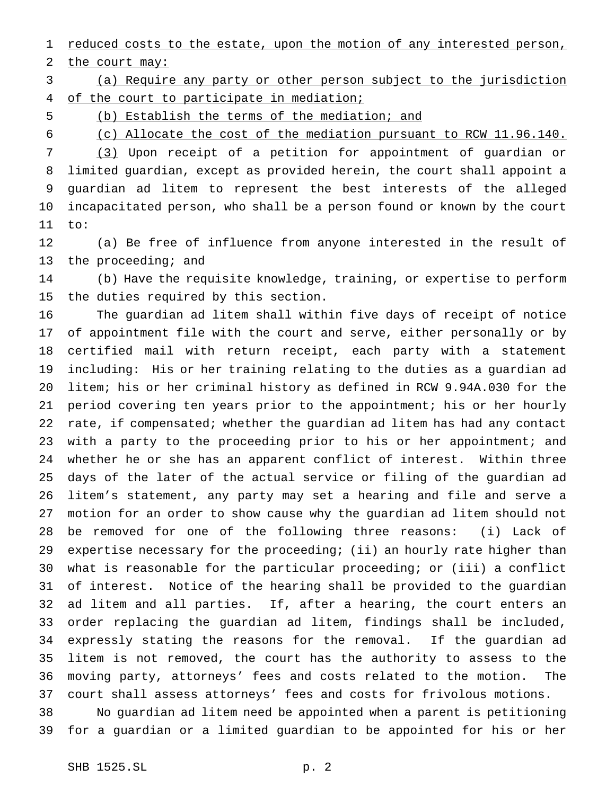1 reduced costs to the estate, upon the motion of any interested person,

2 the court may:

 (a) Require any party or other person subject to the jurisdiction 4 of the court to participate in mediation;

(b) Establish the terms of the mediation; and

(c) Allocate the cost of the mediation pursuant to RCW 11.96.140.

 (3) Upon receipt of a petition for appointment of guardian or limited guardian, except as provided herein, the court shall appoint a guardian ad litem to represent the best interests of the alleged incapacitated person, who shall be a person found or known by the court to:

 (a) Be free of influence from anyone interested in the result of 13 the proceeding; and

 (b) Have the requisite knowledge, training, or expertise to perform the duties required by this section.

 The guardian ad litem shall within five days of receipt of notice of appointment file with the court and serve, either personally or by certified mail with return receipt, each party with a statement including: His or her training relating to the duties as a guardian ad litem; his or her criminal history as defined in RCW 9.94A.030 for the period covering ten years prior to the appointment; his or her hourly rate, if compensated; whether the guardian ad litem has had any contact with a party to the proceeding prior to his or her appointment; and whether he or she has an apparent conflict of interest. Within three days of the later of the actual service or filing of the guardian ad litem's statement, any party may set a hearing and file and serve a motion for an order to show cause why the guardian ad litem should not be removed for one of the following three reasons: (i) Lack of expertise necessary for the proceeding; (ii) an hourly rate higher than what is reasonable for the particular proceeding; or (iii) a conflict of interest. Notice of the hearing shall be provided to the guardian ad litem and all parties. If, after a hearing, the court enters an order replacing the guardian ad litem, findings shall be included, expressly stating the reasons for the removal. If the guardian ad litem is not removed, the court has the authority to assess to the moving party, attorneys' fees and costs related to the motion. The court shall assess attorneys' fees and costs for frivolous motions. No guardian ad litem need be appointed when a parent is petitioning

for a guardian or a limited guardian to be appointed for his or her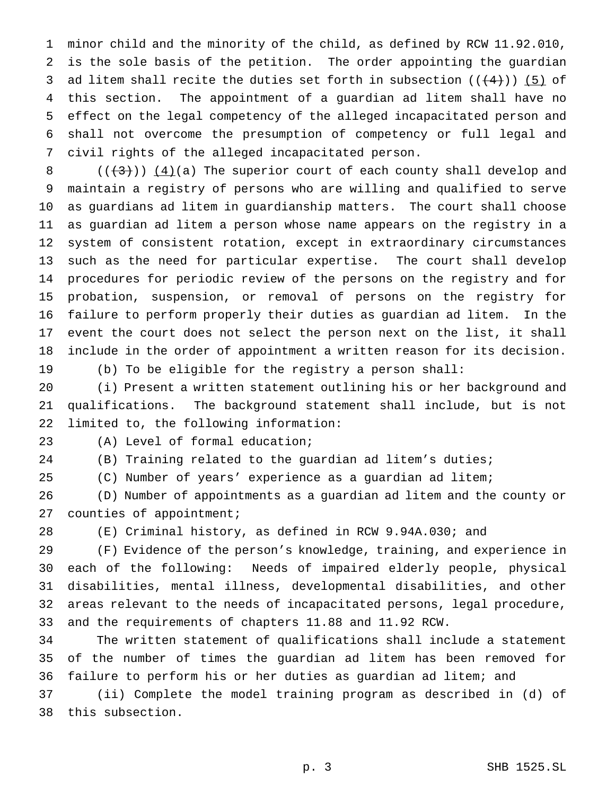minor child and the minority of the child, as defined by RCW 11.92.010, is the sole basis of the petition. The order appointing the guardian 3 ad litem shall recite the duties set forth in subsection  $((+4))$  (5) of this section. The appointment of a guardian ad litem shall have no effect on the legal competency of the alleged incapacitated person and shall not overcome the presumption of competency or full legal and civil rights of the alleged incapacitated person.

 $((+3))$   $(4)(a)$  The superior court of each county shall develop and maintain a registry of persons who are willing and qualified to serve as guardians ad litem in guardianship matters. The court shall choose as guardian ad litem a person whose name appears on the registry in a system of consistent rotation, except in extraordinary circumstances such as the need for particular expertise. The court shall develop procedures for periodic review of the persons on the registry and for probation, suspension, or removal of persons on the registry for failure to perform properly their duties as guardian ad litem. In the event the court does not select the person next on the list, it shall include in the order of appointment a written reason for its decision. (b) To be eligible for the registry a person shall:

 (i) Present a written statement outlining his or her background and qualifications. The background statement shall include, but is not limited to, the following information:

(A) Level of formal education;

(B) Training related to the guardian ad litem's duties;

(C) Number of years' experience as a guardian ad litem;

 (D) Number of appointments as a guardian ad litem and the county or counties of appointment;

(E) Criminal history, as defined in RCW 9.94A.030; and

 (F) Evidence of the person's knowledge, training, and experience in each of the following: Needs of impaired elderly people, physical disabilities, mental illness, developmental disabilities, and other areas relevant to the needs of incapacitated persons, legal procedure, and the requirements of chapters 11.88 and 11.92 RCW.

 The written statement of qualifications shall include a statement of the number of times the guardian ad litem has been removed for failure to perform his or her duties as guardian ad litem; and

 (ii) Complete the model training program as described in (d) of this subsection.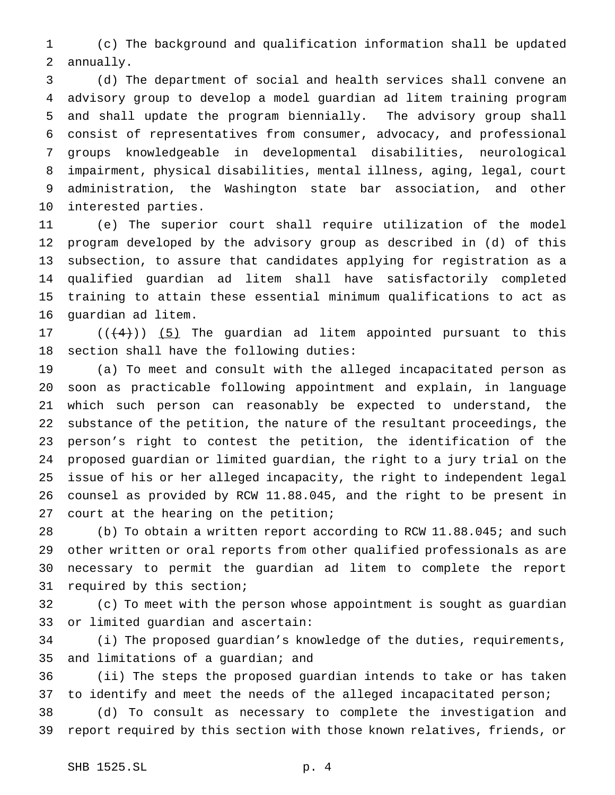(c) The background and qualification information shall be updated annually.

 (d) The department of social and health services shall convene an advisory group to develop a model guardian ad litem training program and shall update the program biennially. The advisory group shall consist of representatives from consumer, advocacy, and professional groups knowledgeable in developmental disabilities, neurological impairment, physical disabilities, mental illness, aging, legal, court administration, the Washington state bar association, and other interested parties.

 (e) The superior court shall require utilization of the model program developed by the advisory group as described in (d) of this subsection, to assure that candidates applying for registration as a qualified guardian ad litem shall have satisfactorily completed training to attain these essential minimum qualifications to act as guardian ad litem.

 $((+4))$   $(5)$  The guardian ad litem appointed pursuant to this section shall have the following duties:

 (a) To meet and consult with the alleged incapacitated person as soon as practicable following appointment and explain, in language which such person can reasonably be expected to understand, the substance of the petition, the nature of the resultant proceedings, the person's right to contest the petition, the identification of the proposed guardian or limited guardian, the right to a jury trial on the issue of his or her alleged incapacity, the right to independent legal counsel as provided by RCW 11.88.045, and the right to be present in court at the hearing on the petition;

 (b) To obtain a written report according to RCW 11.88.045; and such other written or oral reports from other qualified professionals as are necessary to permit the guardian ad litem to complete the report required by this section;

 (c) To meet with the person whose appointment is sought as guardian or limited guardian and ascertain:

 (i) The proposed guardian's knowledge of the duties, requirements, and limitations of a guardian; and

 (ii) The steps the proposed guardian intends to take or has taken to identify and meet the needs of the alleged incapacitated person;

 (d) To consult as necessary to complete the investigation and report required by this section with those known relatives, friends, or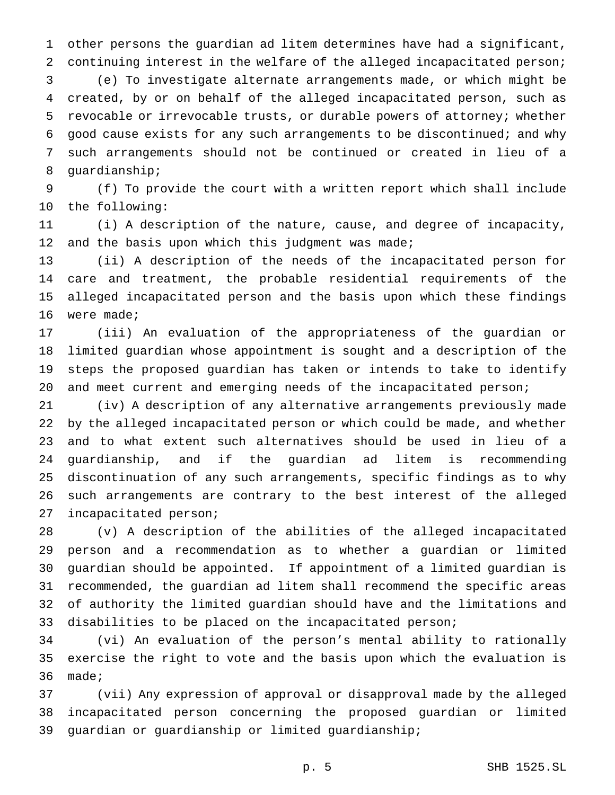other persons the guardian ad litem determines have had a significant, continuing interest in the welfare of the alleged incapacitated person; (e) To investigate alternate arrangements made, or which might be created, by or on behalf of the alleged incapacitated person, such as revocable or irrevocable trusts, or durable powers of attorney; whether good cause exists for any such arrangements to be discontinued; and why such arrangements should not be continued or created in lieu of a guardianship;

 (f) To provide the court with a written report which shall include the following:

 (i) A description of the nature, cause, and degree of incapacity, 12 and the basis upon which this judgment was made;

 (ii) A description of the needs of the incapacitated person for care and treatment, the probable residential requirements of the alleged incapacitated person and the basis upon which these findings were made;

 (iii) An evaluation of the appropriateness of the guardian or limited guardian whose appointment is sought and a description of the steps the proposed guardian has taken or intends to take to identify 20 and meet current and emerging needs of the incapacitated person;

 (iv) A description of any alternative arrangements previously made by the alleged incapacitated person or which could be made, and whether and to what extent such alternatives should be used in lieu of a guardianship, and if the guardian ad litem is recommending discontinuation of any such arrangements, specific findings as to why such arrangements are contrary to the best interest of the alleged incapacitated person;

 (v) A description of the abilities of the alleged incapacitated person and a recommendation as to whether a guardian or limited guardian should be appointed. If appointment of a limited guardian is recommended, the guardian ad litem shall recommend the specific areas of authority the limited guardian should have and the limitations and disabilities to be placed on the incapacitated person;

 (vi) An evaluation of the person's mental ability to rationally exercise the right to vote and the basis upon which the evaluation is made;

 (vii) Any expression of approval or disapproval made by the alleged incapacitated person concerning the proposed guardian or limited guardian or guardianship or limited guardianship;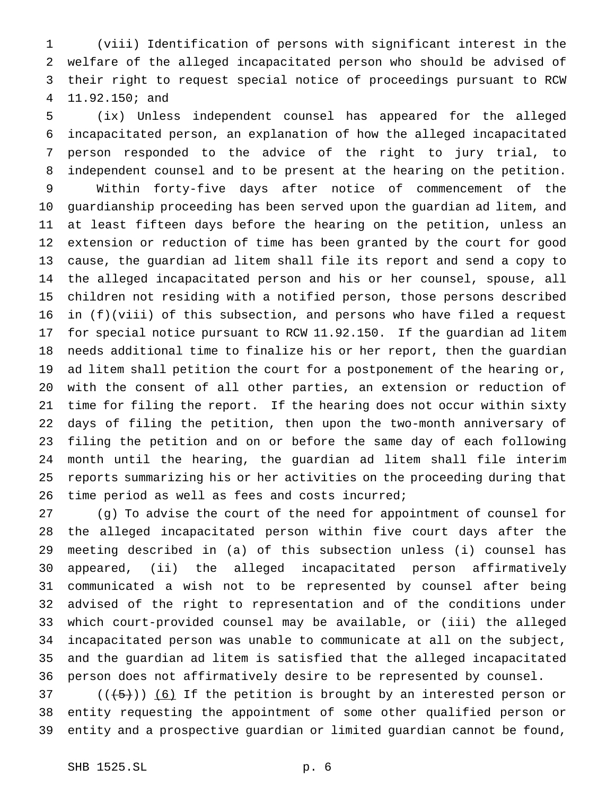(viii) Identification of persons with significant interest in the welfare of the alleged incapacitated person who should be advised of their right to request special notice of proceedings pursuant to RCW 11.92.150; and

 (ix) Unless independent counsel has appeared for the alleged incapacitated person, an explanation of how the alleged incapacitated person responded to the advice of the right to jury trial, to independent counsel and to be present at the hearing on the petition. Within forty-five days after notice of commencement of the guardianship proceeding has been served upon the guardian ad litem, and at least fifteen days before the hearing on the petition, unless an extension or reduction of time has been granted by the court for good cause, the guardian ad litem shall file its report and send a copy to the alleged incapacitated person and his or her counsel, spouse, all children not residing with a notified person, those persons described in (f)(viii) of this subsection, and persons who have filed a request for special notice pursuant to RCW 11.92.150. If the guardian ad litem needs additional time to finalize his or her report, then the guardian ad litem shall petition the court for a postponement of the hearing or, with the consent of all other parties, an extension or reduction of time for filing the report. If the hearing does not occur within sixty days of filing the petition, then upon the two-month anniversary of filing the petition and on or before the same day of each following month until the hearing, the guardian ad litem shall file interim reports summarizing his or her activities on the proceeding during that time period as well as fees and costs incurred;

 (g) To advise the court of the need for appointment of counsel for the alleged incapacitated person within five court days after the meeting described in (a) of this subsection unless (i) counsel has appeared, (ii) the alleged incapacitated person affirmatively communicated a wish not to be represented by counsel after being advised of the right to representation and of the conditions under which court-provided counsel may be available, or (iii) the alleged incapacitated person was unable to communicate at all on the subject, and the guardian ad litem is satisfied that the alleged incapacitated person does not affirmatively desire to be represented by counsel.

 (( $(5)$ )) (6) If the petition is brought by an interested person or entity requesting the appointment of some other qualified person or entity and a prospective guardian or limited guardian cannot be found,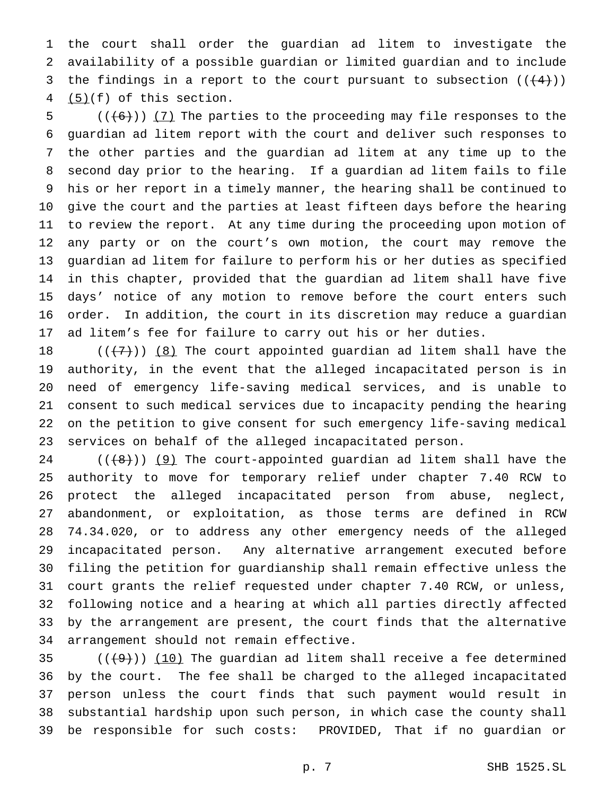the court shall order the guardian ad litem to investigate the availability of a possible guardian or limited guardian and to include 3 the findings in a report to the court pursuant to subsection  $((+4))$ (5)(f) of this section.

 (( $(6)$ )) (7) The parties to the proceeding may file responses to the guardian ad litem report with the court and deliver such responses to the other parties and the guardian ad litem at any time up to the second day prior to the hearing. If a guardian ad litem fails to file his or her report in a timely manner, the hearing shall be continued to give the court and the parties at least fifteen days before the hearing to review the report. At any time during the proceeding upon motion of any party or on the court's own motion, the court may remove the guardian ad litem for failure to perform his or her duties as specified in this chapter, provided that the guardian ad litem shall have five days' notice of any motion to remove before the court enters such order. In addition, the court in its discretion may reduce a guardian ad litem's fee for failure to carry out his or her duties.

 $((+7))$   $(8)$  The court appointed guardian ad litem shall have the authority, in the event that the alleged incapacitated person is in need of emergency life-saving medical services, and is unable to consent to such medical services due to incapacity pending the hearing on the petition to give consent for such emergency life-saving medical services on behalf of the alleged incapacitated person.

 (( $\{8\})$ ) (9) The court-appointed guardian ad litem shall have the authority to move for temporary relief under chapter 7.40 RCW to protect the alleged incapacitated person from abuse, neglect, abandonment, or exploitation, as those terms are defined in RCW 74.34.020, or to address any other emergency needs of the alleged incapacitated person. Any alternative arrangement executed before filing the petition for guardianship shall remain effective unless the court grants the relief requested under chapter 7.40 RCW, or unless, following notice and a hearing at which all parties directly affected by the arrangement are present, the court finds that the alternative arrangement should not remain effective.

 $((+9))$  (10) The guardian ad litem shall receive a fee determined by the court. The fee shall be charged to the alleged incapacitated person unless the court finds that such payment would result in substantial hardship upon such person, in which case the county shall be responsible for such costs: PROVIDED, That if no guardian or